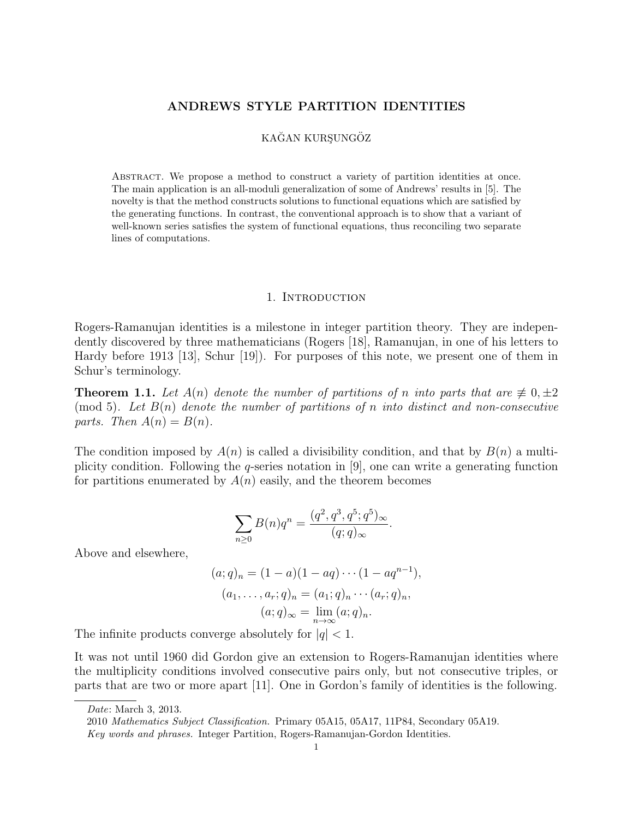### ANDREWS STYLE PARTITION IDENTITIES

# KAĞAN KURSUNGÖZ

Abstract. We propose a method to construct a variety of partition identities at once. The main application is an all-moduli generalization of some of Andrews' results in [5]. The novelty is that the method constructs solutions to functional equations which are satisfied by the generating functions. In contrast, the conventional approach is to show that a variant of well-known series satisfies the system of functional equations, thus reconciling two separate lines of computations.

#### 1. INTRODUCTION

Rogers-Ramanujan identities is a milestone in integer partition theory. They are independently discovered by three mathematicians (Rogers [18], Ramanujan, in one of his letters to Hardy before 1913 [13], Schur [19]). For purposes of this note, we present one of them in Schur's terminology.

**Theorem 1.1.** Let  $A(n)$  denote the number of partitions of n into parts that are  $\not\equiv 0, \pm 2$ (mod 5). Let  $B(n)$  denote the number of partitions of n into distinct and non-consecutive parts. Then  $A(n) = B(n)$ .

The condition imposed by  $A(n)$  is called a divisibility condition, and that by  $B(n)$  a multiplicity condition. Following the q-series notation in [9], one can write a generating function for partitions enumerated by  $A(n)$  easily, and the theorem becomes

$$
\sum_{n\geq 0} B(n)q^n = \frac{(q^2, q^3, q^5; q^5)_{\infty}}{(q; q)_{\infty}}.
$$

Above and elsewhere,

$$
(a;q)_n = (1-a)(1-aq)\cdots(1-aq^{n-1}),
$$
  
\n
$$
(a_1,\ldots,a_r;q)_n = (a_1;q)_n\cdots(a_r;q)_n,
$$
  
\n
$$
(a;q)_{\infty} = \lim_{n\to\infty}(a;q)_n.
$$

The infinite products converge absolutely for  $|q| < 1$ .

It was not until 1960 did Gordon give an extension to Rogers-Ramanujan identities where the multiplicity conditions involved consecutive pairs only, but not consecutive triples, or parts that are two or more apart [11]. One in Gordon's family of identities is the following.

Date: March 3, 2013.

<sup>2010</sup> Mathematics Subject Classification. Primary 05A15, 05A17, 11P84, Secondary 05A19.

Key words and phrases. Integer Partition, Rogers-Ramanujan-Gordon Identities.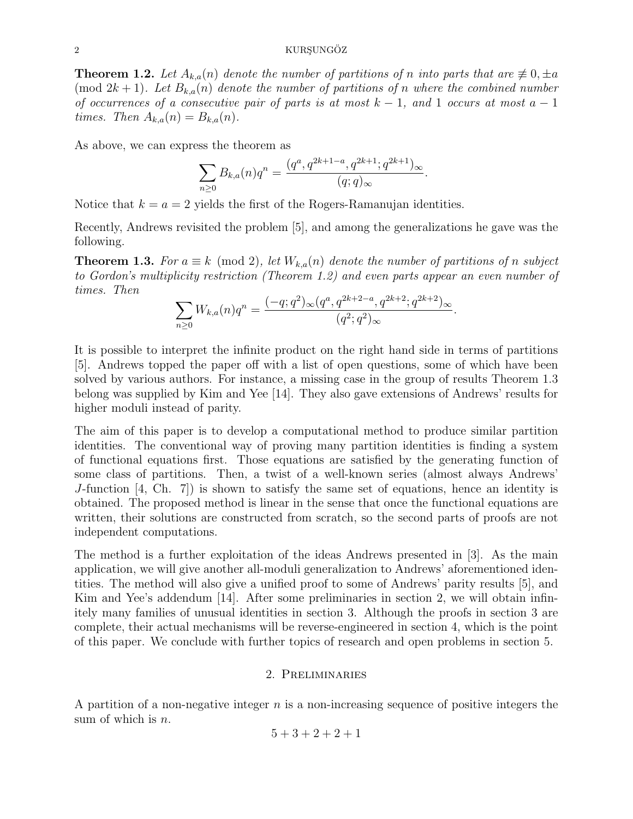## 2 KURSUNGÖZ

**Theorem 1.2.** Let  $A_{k,a}(n)$  denote the number of partitions of n into parts that are  $\not\equiv 0, \pm a$ (mod  $2k+1$ ). Let  $B_{k,a}(n)$  denote the number of partitions of n where the combined number of occurrences of a consecutive pair of parts is at most  $k-1$ , and 1 occurs at most  $a-1$ times. Then  $A_{k,a}(n) = B_{k,a}(n)$ .

As above, we can express the theorem as

$$
\sum_{n\geq 0} B_{k,a}(n)q^n = \frac{(q^a, q^{2k+1-a}, q^{2k+1}; q^{2k+1})_{\infty}}{(q;q)_{\infty}}.
$$

Notice that  $k = a = 2$  yields the first of the Rogers-Ramanujan identities.

Recently, Andrews revisited the problem [5], and among the generalizations he gave was the following.

**Theorem 1.3.** For  $a \equiv k \pmod{2}$ , let  $W_{k,a}(n)$  denote the number of partitions of n subject to Gordon's multiplicity restriction (Theorem 1.2) and even parts appear an even number of times. Then

$$
\sum_{n\geq 0} W_{k,a}(n)q^n = \frac{(-q;q^2)_{\infty}(q^a,q^{2k+2-a},q^{2k+2};q^{2k+2})_{\infty}}{(q^2;q^2)_{\infty}}.
$$

It is possible to interpret the infinite product on the right hand side in terms of partitions [5]. Andrews topped the paper off with a list of open questions, some of which have been solved by various authors. For instance, a missing case in the group of results Theorem 1.3 belong was supplied by Kim and Yee [14]. They also gave extensions of Andrews' results for higher moduli instead of parity.

The aim of this paper is to develop a computational method to produce similar partition identities. The conventional way of proving many partition identities is finding a system of functional equations first. Those equations are satisfied by the generating function of some class of partitions. Then, a twist of a well-known series (almost always Andrews' J-function [4, Ch. 7]) is shown to satisfy the same set of equations, hence an identity is obtained. The proposed method is linear in the sense that once the functional equations are written, their solutions are constructed from scratch, so the second parts of proofs are not independent computations.

The method is a further exploitation of the ideas Andrews presented in [3]. As the main application, we will give another all-moduli generalization to Andrews' aforementioned identities. The method will also give a unified proof to some of Andrews' parity results [5], and Kim and Yee's addendum [14]. After some preliminaries in section 2, we will obtain infinitely many families of unusual identities in section 3. Although the proofs in section 3 are complete, their actual mechanisms will be reverse-engineered in section 4, which is the point of this paper. We conclude with further topics of research and open problems in section 5.

## 2. Preliminaries

A partition of a non-negative integer  $n$  is a non-increasing sequence of positive integers the sum of which is  $n$ .

$$
5+3+2+2+1
$$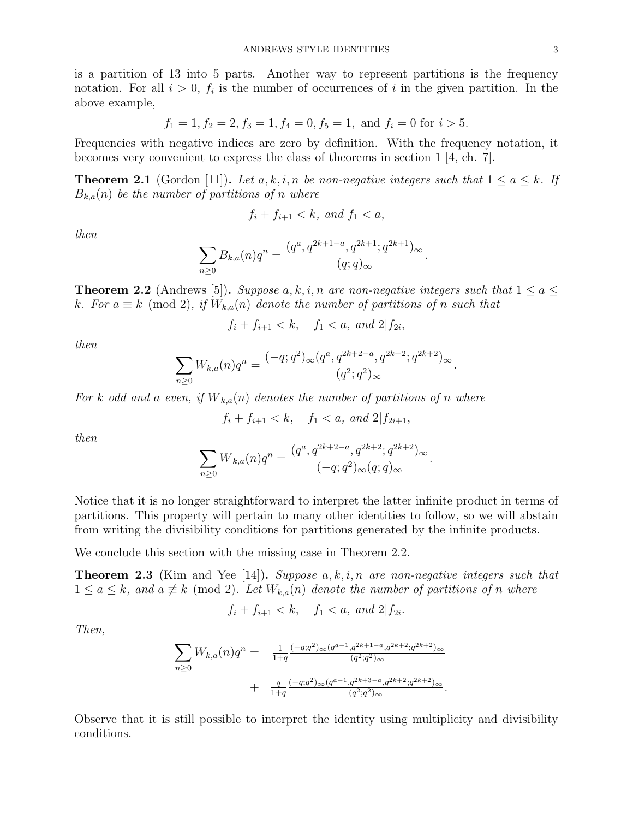is a partition of 13 into 5 parts. Another way to represent partitions is the frequency notation. For all  $i > 0$ ,  $f_i$  is the number of occurrences of i in the given partition. In the above example,

$$
f_1 = 1, f_2 = 2, f_3 = 1, f_4 = 0, f_5 = 1, \text{ and } f_i = 0 \text{ for } i > 5.
$$

Frequencies with negative indices are zero by definition. With the frequency notation, it becomes very convenient to express the class of theorems in section 1  $\vert 4$ , ch. 7.

**Theorem 2.1** (Gordon [11]). Let a, k, i, n be non-negative integers such that  $1 \le a \le k$ . If  $B_{k,a}(n)$  be the number of partitions of n where

$$
f_i + f_{i+1} < k, \text{ and } f_1 < a,
$$

then

$$
\sum_{n\geq 0} B_{k,a}(n)q^n = \frac{(q^a, q^{2k+1-a}, q^{2k+1}; q^{2k+1})_{\infty}}{(q;q)_{\infty}}.
$$

**Theorem 2.2** (Andrews [5]). Suppose  $a, k, i, n$  are non-negative integers such that  $1 \le a \le$ k. For  $a \equiv k \pmod{2}$ , if  $W_{k,a}(n)$  denote the number of partitions of n such that

 $f_i + f_{i+1} < k$ ,  $f_1 < a$ , and  $2|f_{2i}$ ,

then

$$
\sum_{n\geq 0} W_{k,a}(n)q^n = \frac{(-q;q^2)_{\infty}(q^a,q^{2k+2-a},q^{2k+2};q^{2k+2})_{\infty}}{(q^2;q^2)_{\infty}}.
$$

For k odd and a even, if  $\overline{W}_{k,a}(n)$  denotes the number of partitions of n where

$$
f_i + f_{i+1} < k
$$
,  $f_1 < a$ , and  $2|f_{2i+1}$ ,

then

$$
\sum_{n\geq 0} \overline{W}_{k,a}(n)q^n = \frac{(q^a, q^{2k+2-a}, q^{2k+2}; q^{2k+2})_{\infty}}{(-q;q^2)_{\infty}(q;q)_{\infty}}.
$$

Notice that it is no longer straightforward to interpret the latter infinite product in terms of partitions. This property will pertain to many other identities to follow, so we will abstain from writing the divisibility conditions for partitions generated by the infinite products.

We conclude this section with the missing case in Theorem 2.2.

**Theorem 2.3** (Kim and Yee [14]). Suppose  $a, k, i, n$  are non-negative integers such that  $1 \le a \le k$ , and  $a \neq k \pmod{2}$ . Let  $W_{k,a}(n)$  denote the number of partitions of n where

$$
f_i + f_{i+1} < k
$$
,  $f_1 < a$ , and  $2|f_{2i}$ .

Then,

$$
\sum_{n\geq 0} W_{k,a}(n)q^n = \frac{1}{1+q} \frac{(-q;q^2)_{\infty}(q^{a+1},q^{2k+1-a},q^{2k+2};q^{2k+2})_{\infty}}{(q^2;q^2)_{\infty}} + \frac{q}{1+q} \frac{(-q;q^2)_{\infty}(q^{a-1},q^{2k+3-a},q^{2k+2};q^{2k+2})_{\infty}}{(q^2;q^2)_{\infty}}.
$$

Observe that it is still possible to interpret the identity using multiplicity and divisibility conditions.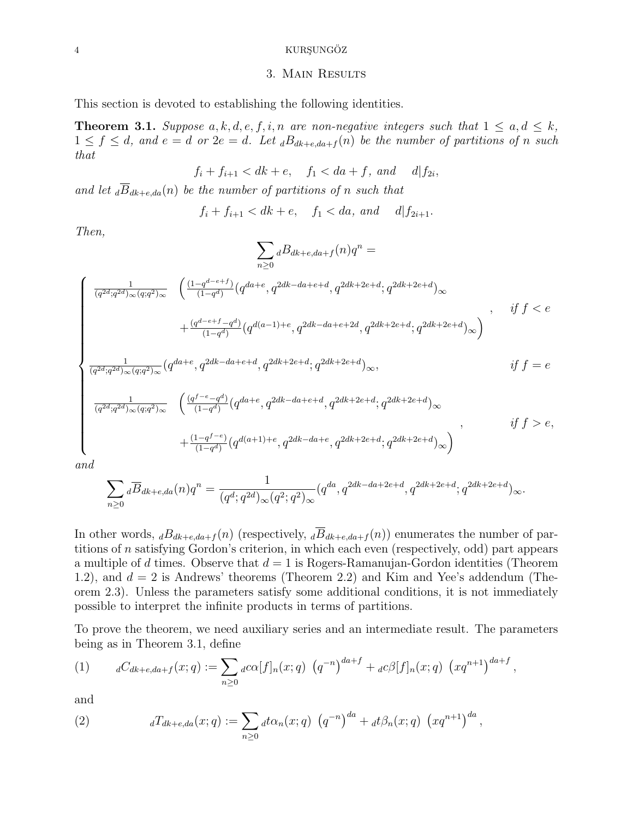# 4 KURŞUNGÖZ

# 3. Main Results

This section is devoted to establishing the following identities.

**Theorem 3.1.** Suppose  $a, k, d, e, f, i, n$  are non-negative integers such that  $1 \leq a, d \leq k$ ,  $1 \leq f \leq d$ , and  $e = d$  or  $2e = d$ . Let  $dB_{dk+e, da+f}(n)$  be the number of partitions of n such that

$$
f_i + f_{i+1} < dk + e, \quad f_1 < da + f, \quad \text{and} \quad d|f_{2i},
$$

and let  $\overline{B}_{dk+e,da}(n)$  be the number of partitions of n such that

$$
f_i + f_{i+1} < dk + e, \quad f_1 < da, \quad \text{and} \quad d | f_{2i+1}.
$$

Then,

$$
\sum_{n\geq 0} dB_{dk+e, da+f}(n)q^n =
$$
\n
$$
\int \frac{1}{(q^{2d}; q^{2d})_{\infty}(q;q^2)_{\infty}} \left( \frac{(1-q^{d-e+f})}{(1-q^d)} (q^{da+e}, q^{2dk-da+e+d}, q^{2dk+2e+d}; q^{2dk+2e+d})_{\infty} + \frac{(q^{d-e+f}-q^d)}{(1-q^d)} (q^{d(a-1)+e}, q^{2dk-da+e+2d}, q^{2dk+2e+d}; q^{2dk+2e+d})_{\infty} \right), \quad if \ f < e
$$
\n
$$
\int \frac{1}{(q^{2d}; q^{2d})_{\infty}(q;q^2)_{\infty}} (q^{da+e}, q^{2dk-da+e+d}, q^{2dk+2e+d}; q^{2dk+2e+d})_{\infty}, \quad if \ f = e
$$
\n
$$
\int \frac{1}{(q^{2d}; q^{2d})_{\infty}(q;q^2)_{\infty}} \left( \frac{(q^{f-e}-q^d)}{(1-q^d)} (q^{da+e}, q^{2dk-da+e+d}, q^{2dk+2e+d}; q^{2dk+2e+d})_{\infty} + \frac{(1-q^{f-e})}{(1-q^d)} (q^{d(a+1)+e}, q^{2dk-da+e}, q^{2dk+2e+d}; q^{2dk+2e+d})_{\infty} \right), \quad if \ f > e,
$$

and

$$
\sum_{n\geq 0} {}_d\overline{B}_{dk+e,da}(n)q^n = \frac{1}{(q^d;q^{2d})_{\infty}(q^2;q^2)_{\infty}} (q^{da}, q^{2dk-da+2e+d}, q^{2dk+2e+d}; q^{2dk+2e+d})_{\infty}.
$$

In other words,  $dB_{dk+e,da+f}(n)$  (respectively,  $d\overline{B}_{dk+e,da+f}(n)$ ) enumerates the number of partitions of n satisfying Gordon's criterion, in which each even (respectively, odd) part appears a multiple of d times. Observe that  $d = 1$  is Rogers-Ramanujan-Gordon identities (Theorem 1.2), and  $d = 2$  is Andrews' theorems (Theorem 2.2) and Kim and Yee's addendum (Theorem 2.3). Unless the parameters satisfy some additional conditions, it is not immediately possible to interpret the infinite products in terms of partitions.

To prove the theorem, we need auxiliary series and an intermediate result. The parameters being as in Theorem 3.1, define

(1) 
$$
{}_{d}C_{dk+e,da+f}(x;q) := \sum_{n\geq 0} {}_{d}c\alpha[f]_n(x;q) \left(q^{-n}\right)^{da+f} + {}_{d}c\beta[f]_n(x;q) \left(xq^{n+1}\right)^{da+f},
$$

and

(2) 
$$
{}_{d}T_{dk+e,da}(x;q) := \sum_{n\geq 0} {}_{d}t\alpha_n(x;q) \left(q^{-n}\right)^{da} + {}_{d}t\beta_n(x;q) \left(xq^{n+1}\right)^{da},
$$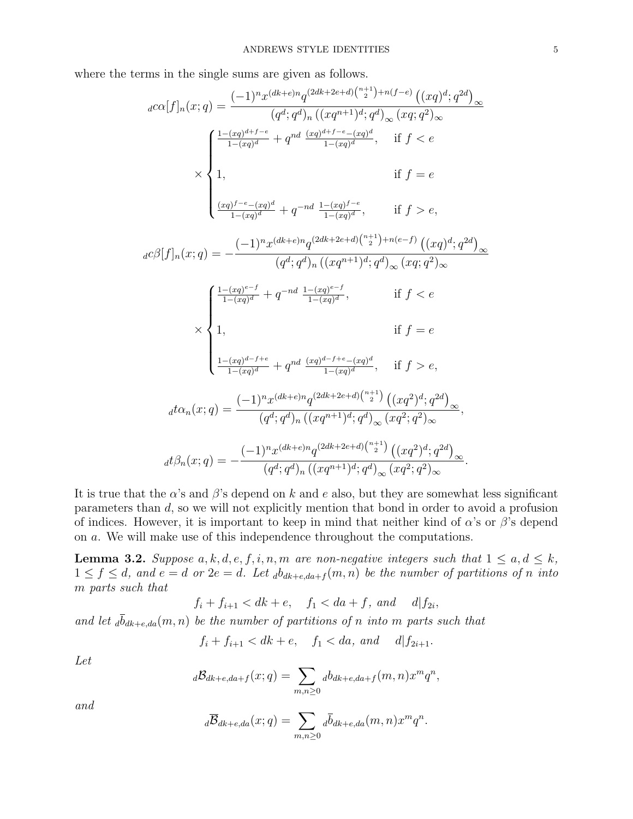where the terms in the single sums are given as follows.

$$
{}_{d}c\alpha[f]_{n}(x;q) = \frac{(-1)^{n}x^{(dk+e)n}q^{(2dk+2e+d)\binom{n+1}{2}+n(f-e)}\left((xq)^{d};q^{2d}\right)_{\infty}}{(q^{d};q^{d})_{n}\left((xq^{n+1})^{d};q^{d}\right)_{\infty}(xq;q^{2})_{\infty}}
$$
\n
$$
\times \begin{cases}\n\frac{1-(xq)^{d+f-e}}{1-(xq)^{d}} + q^{nd}\frac{(xq)^{d+f-e}-(xq)^{d}}{1-(xq)^{d}}}, & \text{if } f < e \\
1, & \text{if } f = e\n\end{cases}
$$
\n
$$
\times \begin{cases}\n\frac{1-(xq)^{f-e}-(xq)^{d}}{1-(xq)^{d}} + q^{-nd}\frac{1-(xq)^{f-e}}{1-(xq)^{d}}, & \text{if } f > e, \\
1, & \text{if } f = e\n\end{cases}
$$
\n
$$
{}_{d}c\beta[f]_{n}(x;q) = -\frac{(-1)^{n}x^{(dk+e)n}q^{(2dk+2e+d)\binom{n+1}{2}+n(e-f)}\left((xq)^{d};q^{2d}\right)_{\infty}}{(q^{d};q^{d})_{n}\left((xq^{n+1})^{d};q^{d}\right)_{\infty}(xq;q^{2})_{\infty}}
$$
\n
$$
\times \begin{cases}\n\frac{1-(xq)^{e-f}}{1-(xq)^{d}} + q^{-nd}\frac{1-(xq)^{e-f}}{1-(xq)^{d}}, & \text{if } f < e \\
1, & \text{if } f = e \\
\frac{1-(xq)^{d-f+e}}{1-(xq)^{d}} + q^{nd}\frac{(xq)^{d-f+e}-(xq)^{d}}{1-(xq)^{d}}, & \text{if } f > e, \\
d t \alpha_{n}(x;q) = \frac{(-1)^{n}x^{(dk+e)n}q^{(2dk+2e+d)\binom{n+1}{2}}\left((xq^{2})^{d};q^{2d}\right)_{\infty}}{(q^{d};q^{d})_{n}\left((xq^{n+1})^{d};q^{d}\right)_{\infty}(xq^{2};q^{2})_{\infty}},\n\end{cases}
$$
\n
$$
{}_{d}t\beta_{n}(x;q) = -\frac{(-1)^{n}x
$$

It is true that the  $\alpha$ 's and  $\beta$ 's depend on k and e also, but they are somewhat less significant parameters than d, so we will not explicitly mention that bond in order to avoid a profusion of indices. However, it is important to keep in mind that neither kind of  $\alpha$ 's or  $\beta$ 's depend on a. We will make use of this independence throughout the computations.

**Lemma 3.2.** Suppose  $a, k, d, e, f, i, n, m$  are non-negative integers such that  $1 \le a, d \le k$ ,  $1 \leq f \leq d$ , and  $e = d$  or  $2e = d$ . Let  $_{d}b_{dk+e, da+f}(m, n)$  be the number of partitions of n into m parts such that

$$
f_i + f_{i+1} < dk + e, \quad f_1 < da + f, \quad \text{and} \quad d|f_{2i},
$$

and let  $\bar{d}_{dk+e,da}(m, n)$  be the number of partitions of n into m parts such that

$$
f_i + f_{i+1} < dk + e, \quad f_1 < da, \quad \text{and} \quad d \mid f_{2i+1}.
$$

Let

$$
d\mathcal{B}_{dk+e,da+f}(x;q)=\sum_{m,n\geq 0}d_{dk+e,da+f}(m,n)x^mq^n,
$$

and

$$
d\overline{B}_{dk+e,da}(x;q)=\sum_{m,n\geq 0}d\overline{b}_{dk+e,da}(m,n)x^mq^n.
$$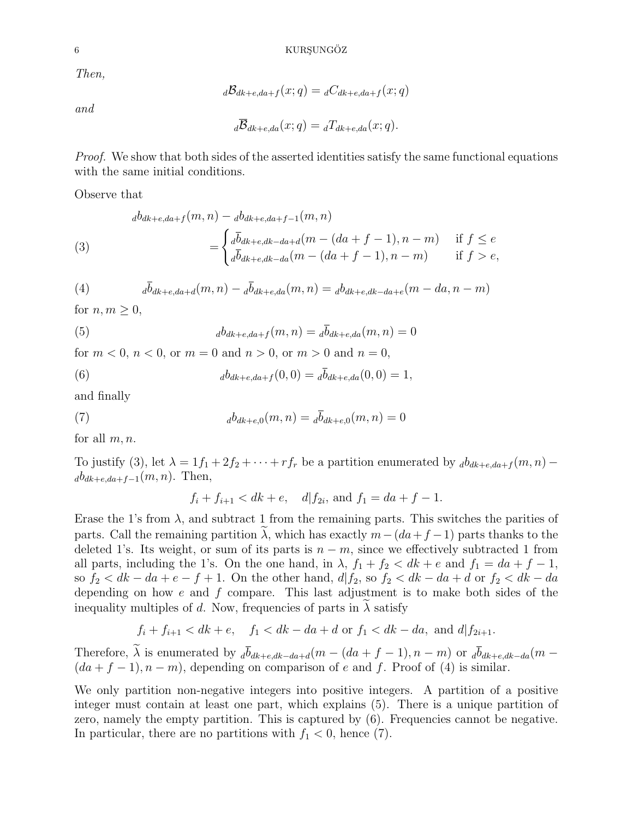Then,

 $\Delta \mathcal{B}_{dk+e,da+f}(x;q) = \Delta C_{dk+e,da+f}(x;q)$ 

and

$$
d\overline{B}_{dk+e,da}(x;q) = dT_{dk+e,da}(x;q).
$$

Proof. We show that both sides of the asserted identities satisfy the same functional equations with the same initial conditions.

Observe that

(3)  

$$
d^{b}_{dk+e, da+f}(m, n) - d^{b}_{dk+e, da+f-1}(m, n)
$$

$$
= \begin{cases} d^{\overline{b}}_{dk+e, dk-da+d}(m - (da+f-1), n-m) & \text{if } f \le e \\ d^{\overline{b}}_{dk+e, dk-da}(m - (da+f-1), n-m) & \text{if } f > e, \end{cases}
$$

(4) 
$$
{}_{d}\bar{b}_{dk+e,da+d}(m,n) - {}_{d}\bar{b}_{dk+e,da}(m,n) = {}_{d}b_{dk+e,dk-da+e}(m-da,n-m)
$$

for  $n, m \geq 0$ ,

(5) 
$$
_{d}b_{dk+e,da+f}(m,n) = _{d}\bar{b}_{dk+e,da}(m,n) = 0
$$

for  $m < 0$ ,  $n < 0$ , or  $m = 0$  and  $n > 0$ , or  $m > 0$  and  $n = 0$ ,

(6) 
$$
d_{dk+e,da+f}(0,0) = d\overline{b}_{dk+e,da}(0,0) = 1,
$$

and finally

(7) 
$$
_{d}b_{dk+e,0}(m,n) = {}_{d}\overline{b}_{dk+e,0}(m,n) = 0
$$

for all  $m, n$ .

To justify (3), let  $\lambda = 1f_1 + 2f_2 + \cdots + rf_r$  be a partition enumerated by  $d_{dk+e, da+f}(m, n)$  $a_{dk+e,da+f-1}(m, n)$ . Then,

 $f_i + f_{i+1} < dk + e$ ,  $d|f_{2i}$ , and  $f_1 = da + f - 1$ .

Erase the 1's from  $\lambda$ , and subtract 1 from the remaining parts. This switches the parities of parts. Call the remaining partition  $\lambda$ , which has exactly  $m-(da+f-1)$  parts thanks to the deleted 1's. Its weight, or sum of its parts is  $n - m$ , since we effectively subtracted 1 from all parts, including the 1's. On the one hand, in  $\lambda$ ,  $f_1 + f_2 < dk + e$  and  $f_1 = da + f - 1$ , so  $f_2 < dk - da + e - f + 1$ . On the other hand,  $d/f_2$ , so  $f_2 < dk - da + d$  or  $f_2 < dk - da$ depending on how  $e$  and  $f$  compare. This last adjustment is to make both sides of the inequality multiples of d. Now, frequencies of parts in  $\lambda$  satisfy

$$
f_i + f_{i+1} < dk + e
$$
,  $f_1 < dk - da + d$  or  $f_1 < dk - da$ , and  $d|f_{2i+1}$ .

Therefore,  $\tilde{\lambda}$  is enumerated by  $d\bar{b}_{dk+e,dk-da+d}(m - (da + f - 1), n - m)$  or  $d\bar{b}_{dk+e,dk-da}(m (da + f - 1), n - m)$ , depending on comparison of e and f. Proof of (4) is similar.

We only partition non-negative integers into positive integers. A partition of a positive integer must contain at least one part, which explains (5). There is a unique partition of zero, namely the empty partition. This is captured by (6). Frequencies cannot be negative. In particular, there are no partitions with  $f_1 < 0$ , hence (7).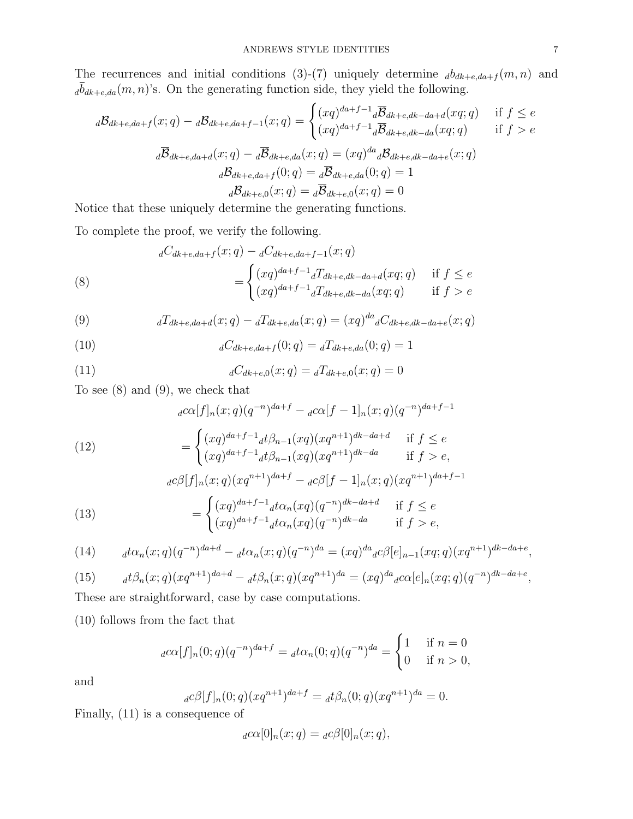The recurrences and initial conditions (3)-(7) uniquely determine  $_d b_{dk+e, da+f}(m, n)$  and  $_{d}\overline{b}_{dk+e,da}(m,n)$  s. On the generating function side, they yield the following.

$$
d\mathcal{B}_{dk+e,da+f}(x;q) - d\mathcal{B}_{dk+e,da+f-1}(x;q) = \begin{cases} (xq)^{da+f-1} d\overline{\mathcal{B}}_{dk+e,dk-da+d}(xq;q) & \text{if } f \le e\\ (xq)^{da+f-1} d\overline{\mathcal{B}}_{dk+e,dk-da}(xq;q) & \text{if } f > e \end{cases}
$$

$$
d\overline{\mathcal{B}}_{dk+e,da+d}(x;q) - d\overline{\mathcal{B}}_{dk+e,da}(x;q) = (xq)^{da} d\mathcal{B}_{dk+e,dk-da+e}(x;q)
$$

$$
d\mathcal{B}_{dk+e,da+f}(0;q) = d\overline{\mathcal{B}}_{dk+e,da}(0;q) = 1
$$

$$
d\mathcal{B}_{dk+e,0}(x;q) = d\overline{\mathcal{B}}_{dk+e,0}(x;q) = 0
$$

Notice that these uniquely determine the generating functions.

To complete the proof, we verify the following.

(8)  

$$
{}_{d}C_{dk+e, da+f}(x;q) - {}_{d}C_{dk+e, da+f-1}(x;q)
$$

$$
= \begin{cases} (xq)^{da+f-1} {}_{d}T_{dk+e, dk-da+d}(xq;q) & \text{if } f \le e \\ (xq)^{da+f-1} {}_{d}T_{dk+e, dk-da}(xq;q) & \text{if } f > e \end{cases}
$$

(9) 
$$
{}_{d}T_{dk+e, da+d}(x;q) - {}_{d}T_{dk+e, da}(x;q) = (xq)^{da} {}_{d}C_{dk+e, dk-da+e}(x;q)
$$

(10) 
$$
{}_{d}C_{dk+e, da+f}(0;q) = {}_{d}T_{dk+e, da}(0;q) = 1
$$

(11) 
$$
{}_{d}C_{dk+e,0}(x;q) = {}_{d}T_{dk+e,0}(x;q) = 0
$$

To see (8) and (9), we check that

$$
{}_{d}c\alpha[f]_{n}(x;q)(q^{-n})^{da+f} - {}_{d}c\alpha[f-1]_{n}(x;q)(q^{-n})^{da+f-1}
$$

(12) 
$$
= \begin{cases} (xq)^{da+f-1} d\beta_{n-1}(xq) (xq^{n+1})^{dk-da+d} & \text{if } f \le e \\ (xq)^{da+f-1} d\beta_{n-1}(xq) (xq^{n+1})^{dk-da} & \text{if } f > e, \end{cases}
$$

(13) 
$$
{}_{d}c\beta[f]_{n}(x;q)(xq^{n+1})^{da+f} - {}_{d}c\beta[f-1]_{n}(x;q)(xq^{n+1})^{da+f-1}
$$

$$
= \begin{cases} (xq)^{da+f-1}{}_{d}t\alpha_{n}(xq)(q^{-n})^{dk-da+d} & \text{if } f \le e \\ (xq)^{da+f-1}{}_{d}t\alpha_{n}(xq)(q^{-n})^{dk-da} & \text{if } f > e, \end{cases}
$$

(14) 
$$
d\alpha_n(x;q)(q^{-n})^{da+d} - d\alpha_n(x;q)(q^{-n})^{da} = (xq)^{da} {}_{d}c\beta[e]_{n-1}(xq;q)(xq^{n+1})^{dk-da+e},
$$

(15) 
$$
{}_{d}\mathcal{t}\beta_{n}(x;q)(xq^{n+1})^{da+d} - {}_{d}\mathcal{t}\beta_{n}(x;q)(xq^{n+1})^{da} = (xq)^{da}{}_{d}c\alpha[e]_{n}(xq;q)(q^{-n})^{dk-da+e},
$$

These are straightforward, case by case computations.

(10) follows from the fact that

$$
{}_{d}c\alpha[f]_{n}(0;q)(q^{-n})^{da+f} = {}_{d}t\alpha_{n}(0;q)(q^{-n})^{da} = \begin{cases} 1 & \text{if } n = 0\\ 0 & \text{if } n > 0, \end{cases}
$$

and

$$
{}_{d}c\beta[f]_{n}(0;q)(xq^{n+1})^{da+f} = {}_{d}t\beta_{n}(0;q)(xq^{n+1})^{da} = 0.
$$

Finally, (11) is a consequence of

$$
{}_{d}c\alpha[0]_{n}(x;q) = {}_{d}c\beta[0]_{n}(x;q),
$$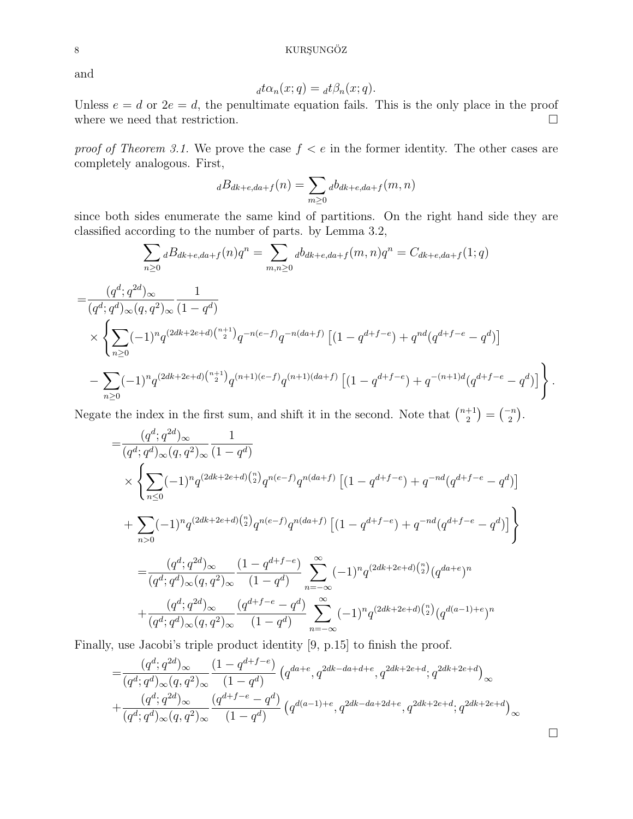and

$$
d \mathcal{t} \alpha_n(x; q) = d \mathcal{t} \beta_n(x; q).
$$

Unless  $e = d$  or  $2e = d$ , the penultimate equation fails. This is the only place in the proof where we need that restriction.  $\Box$ 

proof of Theorem 3.1. We prove the case  $f < e$  in the former identity. The other cases are completely analogous. First,

$$
{}_{d}B_{dk+e,da+f}(n) = \sum_{m\geq 0} {}_{d}b_{dk+e,da+f}(m,n)
$$

since both sides enumerate the same kind of partitions. On the right hand side they are classified according to the number of parts. by Lemma 3.2,

$$
\sum_{n\geq 0} dB_{dk+e, da+f}(n)q^n = \sum_{m,n\geq 0} d b_{dk+e, da+f}(m,n)q^n = C_{dk+e, da+f}(1;q)
$$
  
= 
$$
\frac{(q^d; q^{2d})_{\infty}}{(q^d; q^d)_{\infty}(q, q^2)_{\infty}} \frac{1}{(1-q^d)}
$$
  

$$
\times \left\{ \sum_{n\geq 0} (-1)^n q^{(2dk+2e+d){n+1 \choose 2}} q^{-n(e-f)} q^{-n(da+f)} \left[ (1-q^{d+f-e}) + q^{nd} (q^{d+f-e} - q^d) \right] - \sum_{n\geq 0} (-1)^n q^{(2dk+2e+d){n+1 \choose 2}} q^{(n+1)(e-f)} q^{(n+1)(da+f)} \left[ (1-q^{d+f-e}) + q^{-(n+1)d} (q^{d+f-e} - q^d) \right] \right\}.
$$

Negate the index in the first sum, and shift it in the second. Note that  $\binom{n+1}{2}$  $\binom{+1}{2} = \binom{-n}{2}.$ 

$$
= \frac{(q^d;q^{2d})_{\infty}}{(q^d;q^d)_{\infty}(q,q^2)_{\infty}} \frac{1}{(1-q^d)}
$$
  
\n
$$
\times \left\{ \sum_{n\leq 0} (-1)^n q^{(2dk+2e+d)\binom{n}{2}} q^{n(e-f)} q^{n(da+f)} \left[ (1-q^{d+f-e}) + q^{-nd} (q^{d+f-e} - q^d) \right] \right\}
$$
  
\n
$$
+ \sum_{n>0} (-1)^n q^{(2dk+2e+d)\binom{n}{2}} q^{n(e-f)} q^{n(da+f)} \left[ (1-q^{d+f-e}) + q^{-nd} (q^{d+f-e} - q^d) \right] \right\}
$$
  
\n
$$
= \frac{(q^d;q^{2d})_{\infty}}{(q^d;q^d)_{\infty}(q,q^2)_{\infty}} \frac{(1-q^{d+f-e})}{(1-q^d)} \sum_{n=-\infty}^{\infty} (-1)^n q^{(2dk+2e+d)\binom{n}{2}} (q^{da+e})^n
$$
  
\n
$$
+ \frac{(q^d;q^{2d})_{\infty}}{(q^d;q^d)_{\infty}(q,q^2)_{\infty}} \frac{(q^{d+f-e} - q^d)}{(1-q^d)} \sum_{n=-\infty}^{\infty} (-1)^n q^{(2dk+2e+d)\binom{n}{2}} (q^{d(a-1)+e})^n
$$

Finally, use Jacobi's triple product identity [9, p.15] to finish the proof.

$$
=\frac{(q^d;q^{2d})_\infty}{(q^d;q^d)_\infty (q,q^2)_\infty} \frac{(1-q^{d+f-e})}{(1-q^d)} \left(q^{da+e}, q^{2dk-da+d+e}, q^{2dk+2e+d}; q^{2dk+2e+d}\right)_\infty +\frac{(q^d;q^{2d})_\infty}{(q^d;q^d)_\infty (q,q^2)_\infty} \frac{(q^{d+f-e}-q^d)}{(1-q^d)} \left(q^{d(a-1)+e}, q^{2dk-da+2d+e}, q^{2dk+2e+d}; q^{2dk+2e+d}\right)_\infty
$$

 $\Box$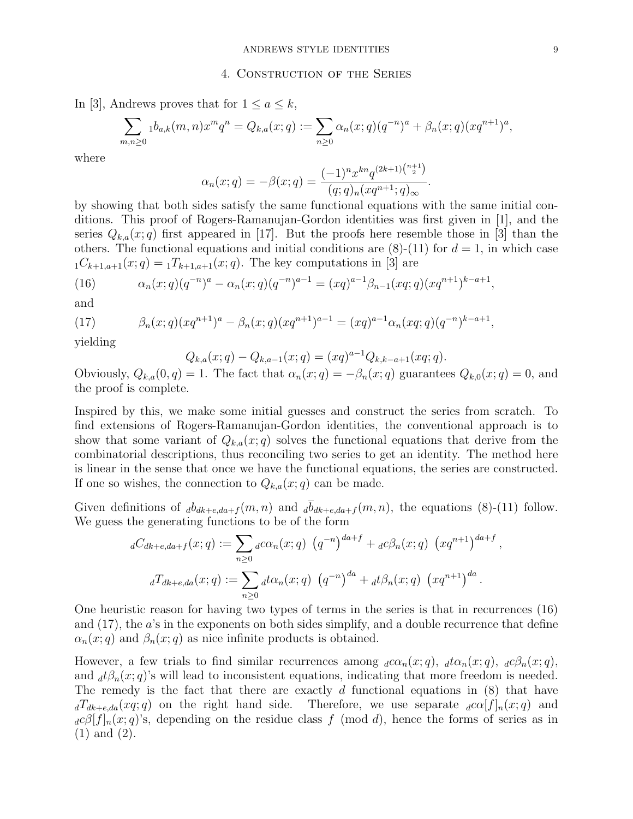### 4. Construction of the Series

In [3], Andrews proves that for  $1 \le a \le k$ ,

$$
\sum_{m,n\geq 0} 1 b_{a,k}(m,n) x^m q^n = Q_{k,a}(x;q) := \sum_{n\geq 0} \alpha_n(x;q) (q^{-n})^a + \beta_n(x;q) (xq^{n+1})^a,
$$

where

$$
\alpha_n(x;q) = -\beta(x;q) = \frac{(-1)^n x^{kn} q^{(2k+1) {n+1 \choose 2}}}{(q;q)_n (xq^{n+1};q)_{\infty}}.
$$

by showing that both sides satisfy the same functional equations with the same initial conditions. This proof of Rogers-Ramanujan-Gordon identities was first given in [1], and the series  $Q_{k,a}(x;q)$  first appeared in [17]. But the proofs here resemble those in [3] than the others. The functional equations and initial conditions are  $(8)-(11)$  for  $d=1$ , in which case  $_1C_{k+1,a+1}(x;q) = _1T_{k+1,a+1}(x;q)$ . The key computations in [3] are

(16) 
$$
\alpha_n(x;q)(q^{-n})^a - \alpha_n(x;q)(q^{-n})^{a-1} = (xq)^{a-1}\beta_{n-1}(xq;q)(xq^{n+1})^{k-a+1},
$$

and

(17) 
$$
\beta_n(x;q)(xq^{n+1})^a - \beta_n(x;q)(xq^{n+1})^{a-1} = (xq)^{a-1}\alpha_n(xq;q)(q^{-n})^{k-a+1},
$$

yielding

$$
Q_{k,a}(x;q) - Q_{k,a-1}(x;q) = (xq)^{a-1}Q_{k,k-a+1}(xq;q).
$$

Obviously,  $Q_{k,a}(0,q) = 1$ . The fact that  $\alpha_n(x;q) = -\beta_n(x;q)$  guarantees  $Q_{k,0}(x;q) = 0$ , and the proof is complete.

Inspired by this, we make some initial guesses and construct the series from scratch. To find extensions of Rogers-Ramanujan-Gordon identities, the conventional approach is to show that some variant of  $Q_{k,a}(x;q)$  solves the functional equations that derive from the combinatorial descriptions, thus reconciling two series to get an identity. The method here is linear in the sense that once we have the functional equations, the series are constructed. If one so wishes, the connection to  $Q_{k,a}(x;q)$  can be made.

Given definitions of  $_d b_{dk+e, da+f}(m, n)$  and  $_d \overline{b}_{dk+e, da+f}(m, n)$ , the equations (8)-(11) follow. We guess the generating functions to be of the form

$$
{}_{d}C_{dk+e,da+f}(x;q) := \sum_{n\geq 0} {}_{d}c\alpha_n(x;q) (q^{-n})^{da+f} + {}_{d}c\beta_n(x;q) (xq^{n+1})^{da+f}
$$

$$
{}_{d}T_{dk+e,da}(x;q) := \sum_{n\geq 0} {}_{d}t\alpha_n(x;q) (q^{-n})^{da} + {}_{d}t\beta_n(x;q) (xq^{n+1})^{da}.
$$

One heuristic reason for having two types of terms in the series is that in recurrences (16) and (17), the a's in the exponents on both sides simplify, and a double recurrence that define  $\alpha_n(x; q)$  and  $\beta_n(x; q)$  as nice infinite products is obtained.

However, a few trials to find similar recurrences among  $_d c\alpha_n(x; q)$ ,  $_d t\alpha_n(x; q)$ ,  $_d c\beta_n(x; q)$ , and  $_d t \beta_n(x; q)$ 's will lead to inconsistent equations, indicating that more freedom is needed. The remedy is the fact that there are exactly  $d$  functional equations in  $(8)$  that have  $d\overline{d}_{dk+e,da}(xq;q)$  on the right hand side. Therefore, we use separate  $d\alpha[f]_n(x;q)$  and  $_d c\beta[f]_n(x;q)$ 's, depending on the residue class f (mod d), hence the forms of series as in (1) and (2).

,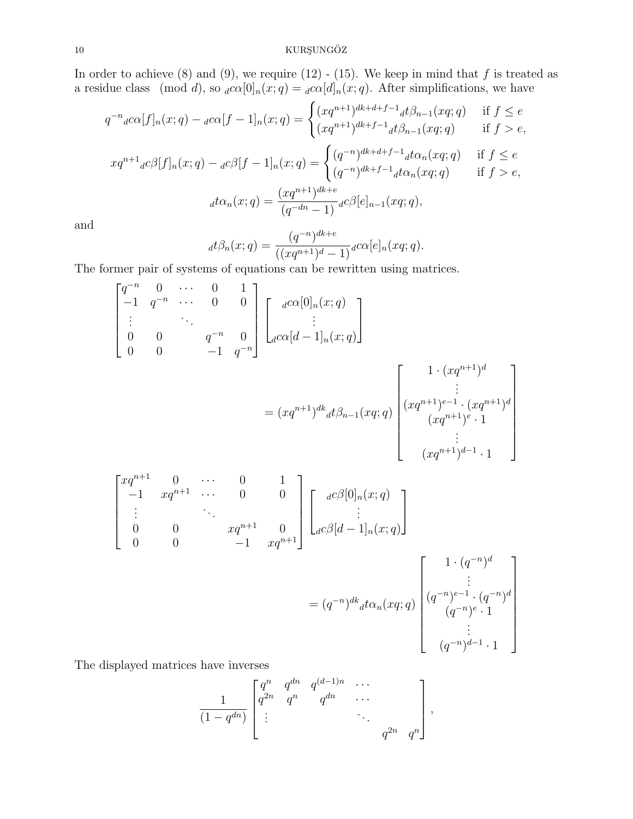# ${\rm KURSUNG\ddot{O}Z}$

In order to achieve  $(8)$  and  $(9)$ , we require  $(12)$  -  $(15)$ . We keep in mind that f is treated as a residue class (mod d), so  $_{d}c\alpha[0]_{n}(x;q) =_{d}c\alpha[d]_{n}(x;q)$ . After simplifications, we have

$$
q^{-n} {}_{d}c\alpha[f]_{n}(x;q) - {}_{d}c\alpha[f-1]_{n}(x;q) = \begin{cases} (xq^{n+1})^{dk+d+f-1} {}_{d}t\beta_{n-1}(xq;q) & \text{if } f \le e \\ (xq^{n+1})^{dk+f-1} {}_{d}t\beta_{n-1}(xq;q) & \text{if } f > e, \end{cases}
$$
  

$$
xq^{n+1} {}_{d}c\beta[f]_{n}(x;q) - {}_{d}c\beta[f-1]_{n}(x;q) = \begin{cases} (q^{-n})^{dk+d+f-1} {}_{d}t\alpha_{n}(xq;q) & \text{if } f \le e \\ (q^{-n})^{dk+f-1} {}_{d}t\alpha_{n}(xq;q) & \text{if } f > e, \end{cases}
$$
  

$$
{}_{d}t\alpha_{n}(x;q) = \frac{(xq^{n+1})^{dk+e}}{(q^{-dn}-1)} {}_{d}c\beta[e]_{n-1}(xq;q),
$$

and

$$
d^{d}\beta_{n}(x;q) = \frac{(q^{-n})^{dk+e}}{((xq^{n+1})^{d}-1)} d^{c\alpha}[e]_{n}(xq;q).
$$

The former pair of systems of equations can be rewritten using matrices.

$$
\begin{bmatrix}\nq^{-n} & 0 & \cdots & 0 & 1 \\
-1 & q^{-n} & \cdots & 0 & 0 \\
\vdots & & \ddots & & \\
0 & 0 & q^{-n} & 0 \\
0 & 0 & & -1 & q^{-n}\n\end{bmatrix}\n\begin{bmatrix}\n\frac{d}{\alpha} & 0 \end{bmatrix}\n\begin{bmatrix}\n\frac{d}{\alpha} & 0 \end{bmatrix}\n\begin{bmatrix}\n\frac{d}{\alpha} & 0 \end{bmatrix}\n\begin{bmatrix}\n\frac{d}{\alpha} & 0 \end{bmatrix}
$$
\n
$$
= (xq^{n+1})^{dk} d\beta_{n-1}(xq;q) \begin{bmatrix}\n\frac{d}{\alpha} & \frac{d}{\alpha} & 0 \end{bmatrix}\n\begin{bmatrix}\n\frac{d}{\alpha} & \frac{d}{\alpha} & 0 \end{bmatrix}\n\begin{bmatrix}\n\frac{d}{\alpha} & \frac{d}{\alpha} & 0 \end{bmatrix}\n\begin{bmatrix}\n\frac{d}{\alpha} & 0 \end{bmatrix}\n\begin{bmatrix}\n\frac{d}{\alpha} & 0 \end{bmatrix}\n\begin{bmatrix}\n\frac{d}{\alpha} & 0 \end{bmatrix}\n\begin{bmatrix}\n\frac{d}{\alpha} & 0 \end{bmatrix}\n\begin{bmatrix}\n\frac{d}{\alpha} & 0 \end{bmatrix}\n\begin{bmatrix}\n\frac{d}{\alpha} & 0 \end{bmatrix}\n\begin{bmatrix}\n\frac{d}{\alpha} & 0 \end{bmatrix}\n\begin{bmatrix}\n\frac{d}{\alpha} & 0 \end{bmatrix}\n\begin{bmatrix}\n\frac{d}{\alpha} & 0 \end{bmatrix}\n\begin{bmatrix}\n\frac{d}{\alpha} & 0 \end{bmatrix}\n\begin{bmatrix}\n\frac{d}{\alpha} & 0 \end{bmatrix}\n\begin{bmatrix}\n\frac{d}{\alpha} & 0 \end{bmatrix}\n\begin{bmatrix}\n\frac{d}{\alpha} & 0 \end{bmatrix}\n\begin{bmatrix}\n\frac{d}{\alpha} & 0 \end{bmatrix}\n\begin{bmatrix}\n\frac{d}{\alpha} & 0 \end{bmatrix}\n\begin{bmatrix}\n\frac{d}{\alpha} & 0 \end{bmatrix}\n\begin{bmatrix}\n\frac{d}{\alpha} & 0 \end{bmatrix}\n\begin{bmatrix}\n\frac{d}{\
$$

The displayed matrices have inverses

$$
\frac{1}{(1-q^{dn})}\begin{bmatrix} q^n & q^{dn} & q^{(d-1)n} & \cdots \\ q^{2n} & q^n & q^{dn} & \cdots \\ \vdots & & & \ddots & \\ & & & & q^{2n} & q^n \end{bmatrix},
$$

 $(q^{-n})^{d-1} \cdot 1$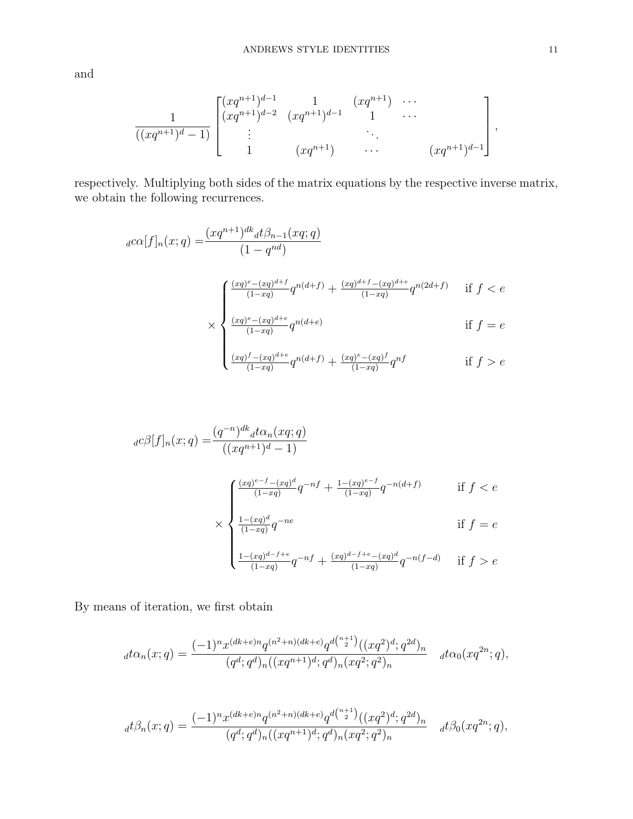and

$$
\frac{1}{((xq^{n+1})^d-1)}\begin{bmatrix} (xq^{n+1})^{d-1} & 1 & (xq^{n+1}) & \cdots \\ (xq^{n+1})^{d-2} & (xq^{n+1})^{d-1} & 1 & \cdots \\ \vdots & \vdots & \ddots & \vdots \\ 1 & (xq^{n+1}) & \cdots & (xq^{n+1})^{d-1} \end{bmatrix},
$$

respectively. Multiplying both sides of the matrix equations by the respective inverse matrix, we obtain the following recurrences.

$$
d^{c\alpha}[f]_n(x;q) = \frac{(xq^{n+1})^{dk} d^{f}\beta_{n-1}(xq;q)}{(1-q^{nd})}
$$
  

$$
\times \begin{cases} \frac{(xq)^{e} - (xq)^{d+f}}{(1-xq)} q^{n(d+f)} + \frac{(xq)^{d+f} - (xq)^{d+e}}{(1-xq)} q^{n(2d+f)} & \text{if } f < e \\ \frac{(xq)^{e} - (xq)^{d+e}}{(1-xq)} q^{n(d+e)} & \text{if } f = e \\ \frac{(xq)^{f} - (xq)^{d+e}}{(1-xq)} q^{n(d+f)} + \frac{(xq)^{e} - (xq)^{f}}{(1-xq)} q^{nf} & \text{if } f > e \end{cases}
$$

$$
d^{c}\beta[f]_{n}(x;q) = \frac{(q^{-n})^{dk} d^{t}\alpha_{n}(xq;q)}{((xq^{n+1})^{d}-1)}
$$
  

$$
\times \begin{cases} \frac{(xq)^{e-f} - (xq)^{d}}{(1-xq)} q^{-nf} + \frac{1-(xq)^{e-f}}{(1-xq)} q^{-n(d+f)} & \text{if } f < e \\ \frac{1-(xq)^{d}}{(1-xq)} q^{-ne} & \text{if } f = e \\ \frac{1-(xq)^{d-f+e}}{(1-xq)} q^{-nf} + \frac{(xq)^{d-f+e} - (xq)^{d}}{(1-xq)} q^{-n(f-d)} & \text{if } f > e \end{cases}
$$

By means of iteration, we first obtain

$$
d\alpha_n(x;q) = \frac{(-1)^n x^{(dk+e)n} q^{(n^2+n)(dk+e)} q^{d\binom{n+1}{2}} ((xq^2)^d; q^{2d})_n}{(q^d; q^d)_n ((xq^{n+1})^d; q^d)_n (xq^2; q^2)_n} d\alpha_0(xq^{2n}; q),
$$

$$
d\beta_n(x;q) = \frac{(-1)^n x^{(dk+e)n} q^{(n^2+n)(dk+e)} q^{d\binom{n+1}{2}} ((xq^2)^d; q^{2d})_n}{(q^d; q^d)_n ((xq^{n+1})^d; q^d)_n (xq^2; q^2)_n} \quad d\beta_0(xq^{2n}; q),
$$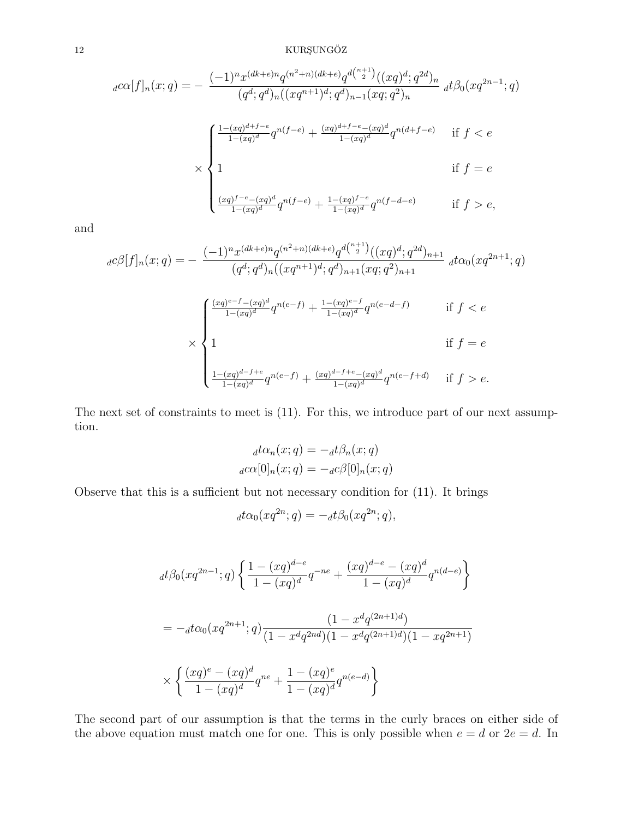# $12$  KURŞUNGÖZ

$$
d^{c\alpha}[f]_n(x;q) = -\frac{(-1)^n x^{(dk+e)n} q^{(n^2+n)(dk+e)} q^{d\binom{n+1}{2}} ((xq)^d; q^{2d})_n}{(q^d; q^d)_n ((xq^{n+1})^d; q^d)_{n-1} (xq; q^2)_n} d^{c\beta} (xq^{2n-1}; q)
$$
  

$$
\times \begin{cases} \frac{1-(xq)^{d+f-e}}{1-(xq)^d} q^{n(f-e)} + \frac{(xq)^{d+f-e} - (xq)^d}{1-(xq)^d} q^{n(d+f-e)} & \text{if } f < e \\ 1 & \text{if } f = e \\ \frac{(xq)^{f-e} - (xq)^d}{1-(xq)^d} q^{n(f-e)} + \frac{1-(xq)^{f-e}}{1-(xq)^d} q^{n(f-d-e)} & \text{if } f > e, \end{cases}
$$

and

$$
d^{c\beta}[f]_n(x;q) = -\frac{(-1)^n x^{(dk+e)n} q^{(n^2+n)(dk+e)} q^{d\binom{n+1}{2}} ((xq)^d;q^{2d})_{n+1}}{(q^d;q^d)_n((xq^{n+1})^d;q^d)_{n+1}(xq;q^2)_{n+1}} d^{t\alpha_0}(xq^{2n+1};q)
$$
  

$$
\times \begin{cases} \frac{(xq)^{e-f} - (xq)^d}{1 - (xq)^d} q^{n(e-f)} + \frac{1 - (xq)^{e-f}}{1 - (xq)^d} q^{n(e-d-f)} & \text{if } f < e \\ 1 & \text{if } f = e \\ \frac{1 - (xq)^{d-f+e}}{1 - (xq)^d} q^{n(e-f)} + \frac{(xq)^{d-f+e} - (xq)^d}{1 - (xq)^d} q^{n(e-f+d)} & \text{if } f > e. \end{cases}
$$

The next set of constraints to meet is (11). For this, we introduce part of our next assumption.

$$
{}_{d}t\alpha_{n}(x;q) = -{}_{d}t\beta_{n}(x;q)
$$

$$
{}_{d}c\alpha[0]_{n}(x;q) = -{}_{d}c\beta[0]_{n}(x;q)
$$

Observe that this is a sufficient but not necessary condition for (11). It brings

$$
_d t\alpha_0(xq^{2n};q) = -_d t\beta_0(xq^{2n};q),
$$

$$
dt\beta_0(xq^{2n-1};q)\left\{\frac{1-(xq)^{d-e}}{1-(xq)^d}q^{-ne}+\frac{(xq)^{d-e}-(xq)^d}{1-(xq)^d}q^{n(d-e)}\right\}
$$
  
=  $-_dt\alpha_0(xq^{2n+1};q)\frac{(1-x^dq^{(2n+1)d})}{(1-x^dq^{2nd})(1-x^dq^{(2n+1)d})(1-xq^{2n+1})}$   

$$
\times\left\{\frac{(xq)^e-(xq)^d}{1-(xq)^d}q^{ne}+\frac{1-(xq)^e}{1-(xq)^d}q^{n(e-d)}\right\}
$$

The second part of our assumption is that the terms in the curly braces on either side of the above equation must match one for one. This is only possible when  $e = d$  or  $2e = d$ . In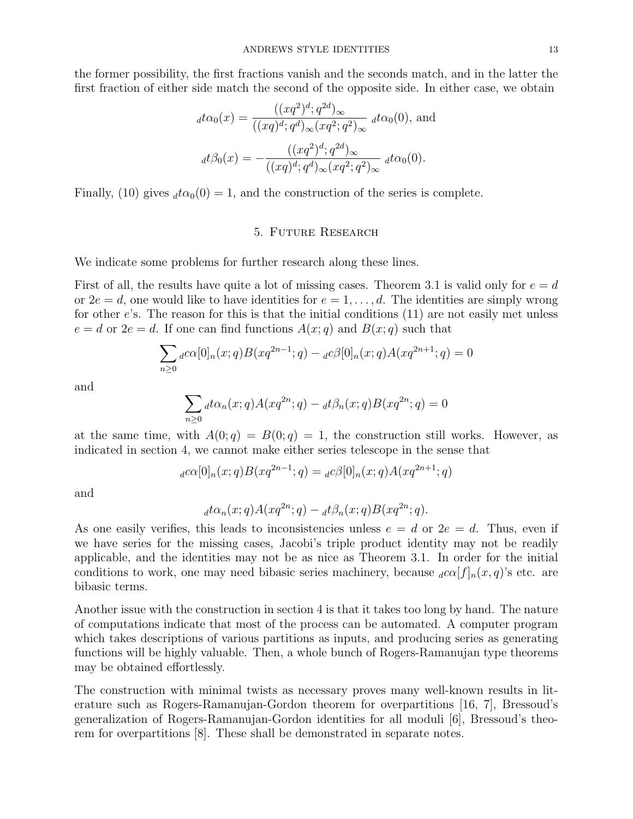the former possibility, the first fractions vanish and the seconds match, and in the latter the first fraction of either side match the second of the opposite side. In either case, we obtain

$$
_d t\alpha_0(x) = \frac{((xq^2)^d; q^{2d})_\infty}{((xq)^d; q^d)_\infty (xq^2; q^2)_\infty} \, d t\alpha_0(0), \text{ and}
$$

$$
_d t\beta_0(x) = -\frac{((xq^2)^d; q^{2d})_\infty}{((xq)^d; q^d)_\infty (xq^2; q^2)_\infty} \, d t\alpha_0(0).
$$

Finally, (10) gives  $_d \tau \alpha_0(0) = 1$ , and the construction of the series is complete.

# 5. Future Research

We indicate some problems for further research along these lines.

First of all, the results have quite a lot of missing cases. Theorem 3.1 is valid only for  $e = d$ or  $2e = d$ , one would like to have identities for  $e = 1, \ldots, d$ . The identities are simply wrong for other e's. The reason for this is that the initial conditions (11) are not easily met unless  $e = d$  or  $2e = d$ . If one can find functions  $A(x; q)$  and  $B(x; q)$  such that

$$
\sum_{n\geq 0} a c \alpha [0]_n(x;q) B(xq^{2n-1};q) - a c \beta [0]_n(x;q) A(xq^{2n+1};q) = 0
$$

and

$$
\sum_{n\geq 0} d\alpha_n(x;q)A(xq^{2n};q) - d\beta_n(x;q)B(xq^{2n};q) = 0
$$

at the same time, with  $A(0; q) = B(0; q) = 1$ , the construction still works. However, as indicated in section 4, we cannot make either series telescope in the sense that

$$
{}_{d}c\alpha[0]_{n}(x;q)B(xq^{2n-1};q) = {}_{d}c\beta[0]_{n}(x;q)A(xq^{2n+1};q)
$$

and

$$
_d t\alpha_n(x;q)A(xq^{2n};q) - _dt \beta_n(x;q)B(xq^{2n};q).
$$

As one easily verifies, this leads to inconsistencies unless  $e = d$  or  $2e = d$ . Thus, even if we have series for the missing cases, Jacobi's triple product identity may not be readily applicable, and the identities may not be as nice as Theorem 3.1. In order for the initial conditions to work, one may need bibasic series machinery, because  $_d c \alpha |f|_n(x, q)$ 's etc. are bibasic terms.

Another issue with the construction in section 4 is that it takes too long by hand. The nature of computations indicate that most of the process can be automated. A computer program which takes descriptions of various partitions as inputs, and producing series as generating functions will be highly valuable. Then, a whole bunch of Rogers-Ramanujan type theorems may be obtained effortlessly.

The construction with minimal twists as necessary proves many well-known results in literature such as Rogers-Ramanujan-Gordon theorem for overpartitions [16, 7], Bressoud's generalization of Rogers-Ramanujan-Gordon identities for all moduli [6], Bressoud's theorem for overpartitions [8]. These shall be demonstrated in separate notes.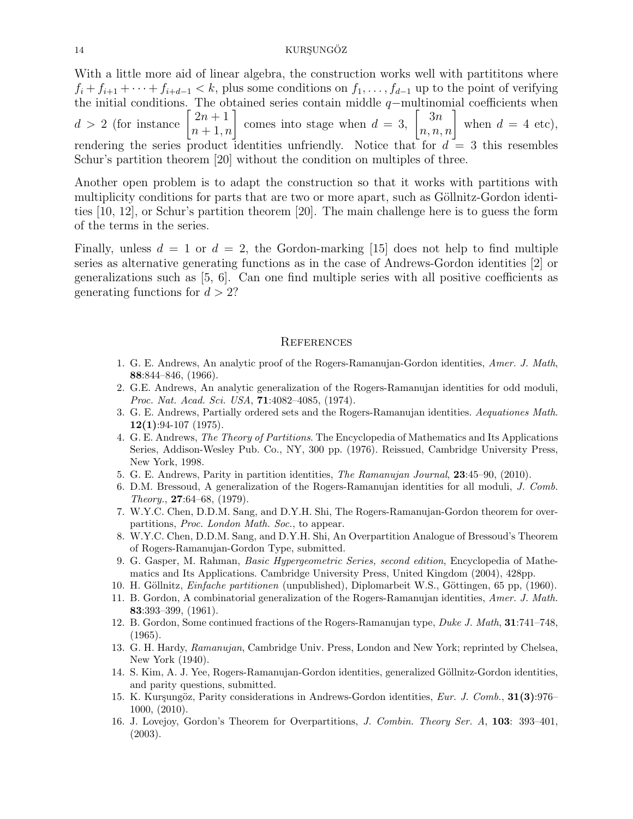# 14 KURŞUNGÖZ

With a little more aid of linear algebra, the construction works well with partititions where  $f_i + f_{i+1} + \cdots + f_{i+d-1} < k$ , plus some conditions on  $f_1, \ldots, f_{d-1}$  up to the point of verifying the initial conditions. The obtained series contain middle  $q$ −multinomial coefficients when  $d \, > \, 2$  (for instance  $\begin{bmatrix} 2n+1 \\ n+1, n \end{bmatrix}$  comes into stage when  $d = 3$ ,  $\begin{bmatrix} 3n \\ n, n, n \end{bmatrix}$  when  $d = 4$  etc), rendering the series product identities unfriendly. Notice that for  $d = 3$  this resembles Schur's partition theorem [20] without the condition on multiples of three.

Another open problem is to adapt the construction so that it works with partitions with multiplicity conditions for parts that are two or more apart, such as Göllnitz-Gordon identities [10, 12], or Schur's partition theorem [20]. The main challenge here is to guess the form of the terms in the series.

Finally, unless  $d = 1$  or  $d = 2$ , the Gordon-marking [15] does not help to find multiple series as alternative generating functions as in the case of Andrews-Gordon identities [2] or generalizations such as [5, 6]. Can one find multiple series with all positive coefficients as generating functions for  $d > 2$ ?

#### **REFERENCES**

- 1. G. E. Andrews, An analytic proof of the Rogers-Ramanujan-Gordon identities, Amer. J. Math, 88:844–846, (1966).
- 2. G.E. Andrews, An analytic generalization of the Rogers-Ramanujan identities for odd moduli, Proc. Nat. Acad. Sci. USA, 71:4082–4085, (1974).
- 3. G. E. Andrews, Partially ordered sets and the Rogers-Ramanujan identities. Aequationes Math.  $12(1):94-107(1975)$ .
- 4. G. E. Andrews, The Theory of Partitions. The Encyclopedia of Mathematics and Its Applications Series, Addison-Wesley Pub. Co., NY, 300 pp. (1976). Reissued, Cambridge University Press, New York, 1998.
- 5. G. E. Andrews, Parity in partition identities, The Ramanujan Journal, 23:45–90, (2010).
- 6. D.M. Bressoud, A generalization of the Rogers-Ramanujan identities for all moduli, J. Comb. Theory., 27:64–68, (1979).
- 7. W.Y.C. Chen, D.D.M. Sang, and D.Y.H. Shi, The Rogers-Ramanujan-Gordon theorem for overpartitions, Proc. London Math. Soc., to appear.
- 8. W.Y.C. Chen, D.D.M. Sang, and D.Y.H. Shi, An Overpartition Analogue of Bressoud's Theorem of Rogers-Ramanujan-Gordon Type, submitted.
- 9. G. Gasper, M. Rahman, Basic Hypergeometric Series, second edition, Encyclopedia of Mathematics and Its Applications. Cambridge University Press, United Kingdom (2004), 428pp.
- 10. H. Göllnitz, Einfache partitionen (unpublished), Diplomarbeit W.S., Göttingen, 65 pp, (1960).
- 11. B. Gordon, A combinatorial generalization of the Rogers-Ramanujan identities, Amer. J. Math. 83:393–399, (1961).
- 12. B. Gordon, Some continued fractions of the Rogers-Ramanujan type, Duke J. Math, 31:741–748, (1965).
- 13. G. H. Hardy, Ramanujan, Cambridge Univ. Press, London and New York; reprinted by Chelsea, New York (1940).
- 14. S. Kim, A. J. Yee, Rogers-Ramanujan-Gordon identities, generalized Göllnitz-Gordon identities, and parity questions, submitted.
- 15. K. Kurşungöz, Parity considerations in Andrews-Gordon identities, Eur. J. Comb., 31(3):976– 1000, (2010).
- 16. J. Lovejoy, Gordon's Theorem for Overpartitions, J. Combin. Theory Ser. A, 103: 393–401, (2003).